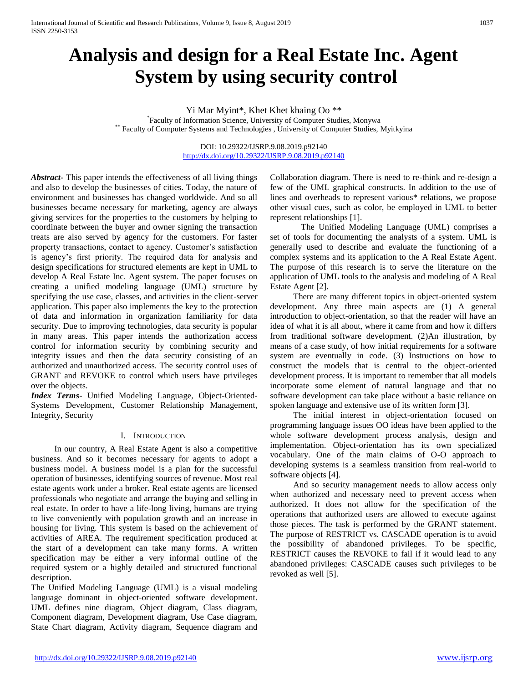# **Analysis and design for a Real Estate Inc. Agent System by using security control**

Yi Mar Myint\*, Khet Khet khaing Oo \*\*

\* Faculty of Information Science, University of Computer Studies, Monywa \*\* Faculty of Computer Systems and Technologies , University of Computer Studies, Myitkyina

> DOI: 10.29322/IJSRP.9.08.2019.p92140 <http://dx.doi.org/10.29322/IJSRP.9.08.2019.p92140>

*Abstract***-** This paper intends the effectiveness of all living things and also to develop the businesses of cities. Today, the nature of environment and businesses has changed worldwide. And so all businesses became necessary for marketing, agency are always giving services for the properties to the customers by helping to coordinate between the buyer and owner signing the transaction treats are also served by agency for the customers. For faster property transactions, contact to agency. Customer's satisfaction is agency's first priority. The required data for analysis and design specifications for structured elements are kept in UML to develop A Real Estate Inc. Agent system. The paper focuses on creating a unified modeling language (UML) structure by specifying the use case, classes, and activities in the client-server application. This paper also implements the key to the protection of data and information in organization familiarity for data security. Due to improving technologies, data security is popular in many areas. This paper intends the authorization access control for information security by combining security and integrity issues and then the data security consisting of an authorized and unauthorized access. The security control uses of GRANT and REVOKE to control which users have privileges over the objects.

*Index Terms*- Unified Modeling Language, Object-Oriented-Systems Development, Customer Relationship Management, Integrity, Security

### I. INTRODUCTION

In our country, A Real Estate Agent is also a competitive business. And so it becomes necessary for agents to adopt a business model. A business model is a plan for the successful operation of businesses, identifying sources of revenue. Most real estate agents work under a broker. Real estate agents are licensed professionals who negotiate and arrange the buying and selling in real estate. In order to have a life-long living, humans are trying to live conveniently with population growth and an increase in housing for living. This system is based on the achievement of activities of AREA. The requirement specification produced at the start of a development can take many forms. A written specification may be either a very informal outline of the required system or a highly detailed and structured functional description.

The Unified Modeling Language (UML) is a visual modeling language dominant in object-oriented software development. UML defines nine diagram, Object diagram, Class diagram, Component diagram, Development diagram, Use Case diagram, State Chart diagram, Activity diagram, Sequence diagram and Collaboration diagram. There is need to re-think and re-design a few of the UML graphical constructs. In addition to the use of lines and overheads to represent various\* relations, we propose other visual cues, such as color, be employed in UML to better represent relationships [1].

The Unified Modeling Language (UML) comprises a set of tools for documenting the analysts of a system. UML is generally used to describe and evaluate the functioning of a complex systems and its application to the A Real Estate Agent. The purpose of this research is to serve the literature on the application of UML tools to the analysis and modeling of A Real Estate Agent [2].

There are many different topics in object-oriented system development. Any three main aspects are (1) A general introduction to object-orientation, so that the reader will have an idea of what it is all about, where it came from and how it differs from traditional software development. (2)An illustration, by means of a case study, of how initial requirements for a software system are eventually in code. (3) Instructions on how to construct the models that is central to the object-oriented development process. It is important to remember that all models incorporate some element of natural language and that no software development can take place without a basic reliance on spoken language and extensive use of its written form [3].

The initial interest in object-orientation focused on programming language issues OO ideas have been applied to the whole software development process analysis, design and implementation. Object-orientation has its own specialized vocabulary. One of the main claims of O-O approach to developing systems is a seamless transition from real-world to software objects [4].

And so security management needs to allow access only when authorized and necessary need to prevent access when authorized. It does not allow for the specification of the operations that authorized users are allowed to execute against those pieces. The task is performed by the GRANT statement. The purpose of RESTRICT vs. CASCADE operation is to avoid the possibility of abandoned privileges. To be specific, RESTRICT causes the REVOKE to fail if it would lead to any abandoned privileges: CASCADE causes such privileges to be revoked as well [5].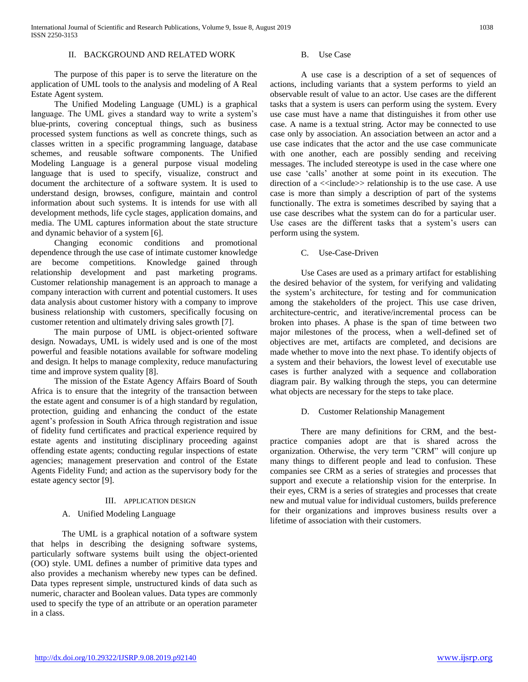## II. BACKGROUND AND RELATED WORK

The purpose of this paper is to serve the literature on the application of UML tools to the analysis and modeling of A Real Estate Agent system.

The Unified Modeling Language (UML) is a graphical language. The UML gives a standard way to write a system's blue-prints, covering conceptual things, such as business processed system functions as well as concrete things, such as classes written in a specific programming language, database schemes, and reusable software components. The Unified Modeling Language is a general purpose visual modeling language that is used to specify, visualize, construct and document the architecture of a software system. It is used to understand design, browses, configure, maintain and control information about such systems. It is intends for use with all development methods, life cycle stages, application domains, and media. The UML captures information about the state structure and dynamic behavior of a system [6].

Changing economic conditions and promotional dependence through the use case of intimate customer knowledge are become competitions. Knowledge gained through relationship development and past marketing programs. Customer relationship management is an approach to manage a company interaction with current and potential customers. It uses data analysis about customer history with a company to improve business relationship with customers, specifically focusing on customer retention and ultimately driving sales growth [7].

The main purpose of UML is object-oriented software design. Nowadays, UML is widely used and is one of the most powerful and feasible notations available for software modeling and design. It helps to manage complexity, reduce manufacturing time and improve system quality [8].

The mission of the Estate Agency Affairs Board of South Africa is to ensure that the integrity of the transaction between the estate agent and consumer is of a high standard by regulation, protection, guiding and enhancing the conduct of the estate agent's profession in South Africa through registration and issue of fidelity fund certificates and practical experience required by estate agents and instituting disciplinary proceeding against offending estate agents; conducting regular inspections of estate agencies; management preservation and control of the Estate Agents Fidelity Fund; and action as the supervisory body for the estate agency sector [9].

#### III. APPLICATION DESIGN

### A. Unified Modeling Language

The UML is a graphical notation of a software system that helps in describing the designing software systems, particularly software systems built using the object-oriented (OO) style. UML defines a number of primitive data types and also provides a mechanism whereby new types can be defined. Data types represent simple, unstructured kinds of data such as numeric, character and Boolean values. Data types are commonly used to specify the type of an attribute or an operation parameter in a class.

#### B. Use Case

A use case is a description of a set of sequences of actions, including variants that a system performs to yield an observable result of value to an actor. Use cases are the different tasks that a system is users can perform using the system. Every use case must have a name that distinguishes it from other use case. A name is a textual string. Actor may be connected to use case only by association. An association between an actor and a use case indicates that the actor and the use case communicate with one another, each are possibly sending and receiving messages. The included stereotype is used in the case where one use case 'calls' another at some point in its execution. The direction of a  $\ll$ include>> relationship is to the use case. A use case is more than simply a description of part of the systems functionally. The extra is sometimes described by saying that a use case describes what the system can do for a particular user. Use cases are the different tasks that a system's users can perform using the system.

#### C. Use-Case-Driven

Use Cases are used as a primary artifact for establishing the desired behavior of the system, for verifying and validating the system's architecture, for testing and for communication among the stakeholders of the project. This use case driven, architecture-centric, and iterative/incremental process can be broken into phases. A phase is the span of time between two major milestones of the process, when a well-defined set of objectives are met, artifacts are completed, and decisions are made whether to move into the next phase. To identify objects of a system and their behaviors, the lowest level of executable use cases is further analyzed with a sequence and collaboration diagram pair. By walking through the steps, you can determine what objects are necessary for the steps to take place.

### D. Customer Relationship Management

There are many definitions for CRM, and the bestpractice companies adopt are that is shared across the organization. Otherwise, the very term "CRM" will conjure up many things to different people and lead to confusion. These companies see CRM as a series of strategies and processes that support and execute a relationship vision for the enterprise. In their eyes, CRM is a series of strategies and processes that create new and mutual value for individual customers, builds preference for their organizations and improves business results over a lifetime of association with their customers.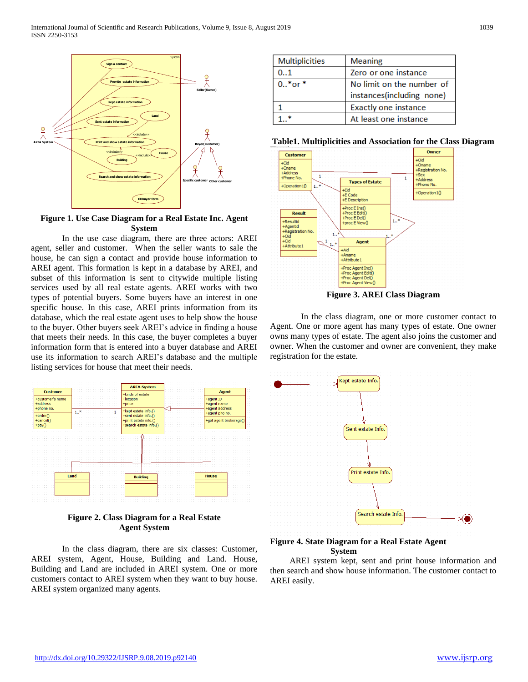

## **Figure 1. Use Case Diagram for a Real Estate Inc. Agent System**

In the use case diagram, there are three actors: AREI agent, seller and customer. When the seller wants to sale the house, he can sign a contact and provide house information to AREI agent. This formation is kept in a database by AREI, and subset of this information is sent to citywide multiple listing services used by all real estate agents. AREI works with two types of potential buyers. Some buyers have an interest in one specific house. In this case, AREI prints information from its database, which the real estate agent uses to help show the house to the buyer. Other buyers seek AREI's advice in finding a house that meets their needs. In this case, the buyer completes a buyer information form that is entered into a buyer database and AREI use its information to search AREI's database and the multiple listing services for house that meet their needs.



**Figure 2. Class Diagram for a Real Estate Agent System**

In the class diagram, there are six classes: Customer, AREI system, Agent, House, Building and Land. House, Building and Land are included in AREI system. One or more customers contact to AREI system when they want to buy house. AREI system organized many agents.

| <b>Multiplicities</b> | <b>Meaning</b>            |
|-----------------------|---------------------------|
| 0.1                   | Zero or one instance      |
| $0.0*$ or $*$         | No limit on the number of |
|                       | instances(including none) |
|                       | Exactly one instance      |
|                       | At least one instance     |

**Table1. Multiplicities and Association for the Class Diagram**



**Figure 3. AREI Class Diagram**

In the class diagram, one or more customer contact to Agent. One or more agent has many types of estate. One owner owns many types of estate. The agent also joins the customer and owner. When the customer and owner are convenient, they make registration for the estate.



## **Figure 4. State Diagram for a Real Estate Agent System**

AREI system kept, sent and print house information and then search and show house information. The customer contact to AREI easily.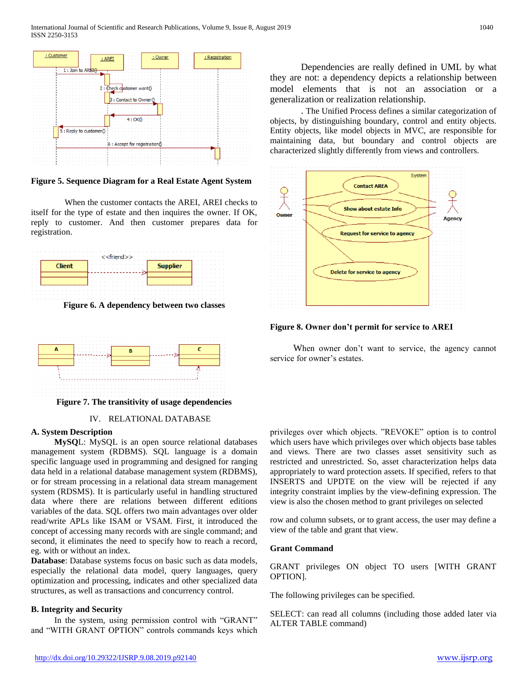

**Figure 5. Sequence Diagram for a Real Estate Agent System**

When the customer contacts the AREI, AREI checks to itself for the type of estate and then inquires the owner. If OK, reply to customer. And then customer prepares data for registration.



**Figure 6. A dependency between two classes**



**Figure 7. The transitivity of usage dependencies**

# IV. RELATIONAL DATABASE

# **A. System Description**

**MySQ**L: MySQL is an open source relational databases management system (RDBMS). SQL language is a domain specific language used in programming and designed for ranging data held in a relational database management system (RDBMS), or for stream processing in a relational data stream management system (RDSMS). It is particularly useful in handling structured data where there are relations between different editions variables of the data. SQL offers two main advantages over older read/write APLs like ISAM or VSAM. First, it introduced the concept of accessing many records with are single command; and second, it eliminates the need to specify how to reach a record, eg. with or without an index.

**Database**: Database systems focus on basic such as data models, especially the relational data model, query languages, query optimization and processing, indicates and other specialized data structures, as well as transactions and concurrency control.

# **B. Integrity and Security**

In the system, using permission control with "GRANT" and "WITH GRANT OPTION" controls commands keys which

Dependencies are really defined in UML by what they are not: a dependency depicts a relationship between model elements that is not an association or a generalization or realization relationship.

. The Unified Process defines a similar categorization of objects, by distinguishing boundary, control and entity objects. Entity objects, like model objects in MVC, are responsible for maintaining data, but boundary and control objects are characterized slightly differently from views and controllers.



**Figure 8. Owner don't permit for service to AREI**

When owner don't want to service, the agency cannot service for owner's estates.

privileges over which objects. "REVOKE" option is to control which users have which privileges over which objects base tables and views. There are two classes asset sensitivity such as restricted and unrestricted. So, asset characterization helps data appropriately to ward protection assets. If specified, refers to that INSERTS and UPDTE on the view will be rejected if any integrity constraint implies by the view-defining expression. The view is also the chosen method to grant privileges on selected

row and column subsets, or to grant access, the user may define a view of the table and grant that view.

### **Grant Command**

GRANT privileges ON object TO users [WITH GRANT OPTION].

The following privileges can be specified.

SELECT: can read all columns (including those added later via ALTER TABLE command)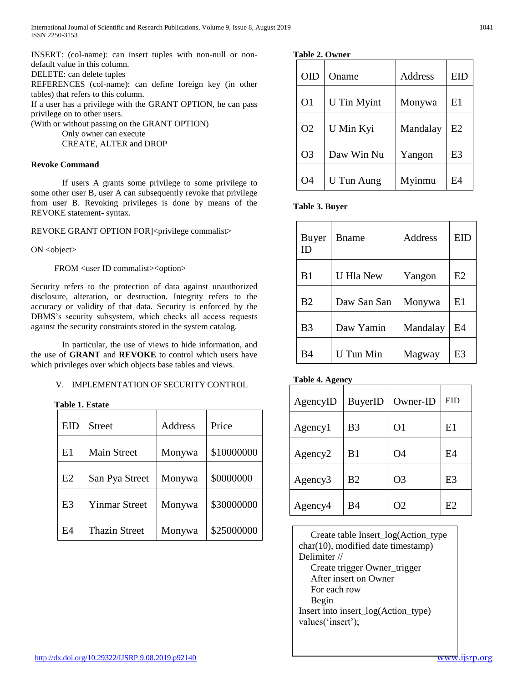INSERT: (col-name): can insert tuples with non-null or nondefault value in this column.

DELETE: can delete tuples

REFERENCES (col-name): can define foreign key (in other tables) that refers to this column.

If a user has a privilege with the GRANT OPTION, he can pass privilege on to other users.

(With or without passing on the GRANT OPTION)

Only owner can execute

CREATE, ALTER and DROP

# **Revoke Command**

If users A grants some privilege to some privilege to some other user B, user A can subsequently revoke that privilege from user B. Revoking privileges is done by means of the REVOKE statement- syntax.

REVOKE GRANT OPTION FOR]<privilege commalist>

ON <object>

FROM <user ID commalist><option>

Security refers to the protection of data against unauthorized disclosure, alteration, or destruction. Integrity refers to the accuracy or validity of that data. Security is enforced by the DBMS's security subsystem, which checks all access requests against the security constraints stored in the system catalog.

In particular, the use of views to hide information, and the use of **GRANT** and **REVOKE** to control which users have which privileges over which objects base tables and views.

# V. IMPLEMENTATION OF SECURITY CONTROL

**Table 1. Estate**

| EID            | Street               | Address | Price      |
|----------------|----------------------|---------|------------|
| E1             | <b>Main Street</b>   | Monywa  | \$10000000 |
| E2             | San Pya Street       | Monywa  | \$0000000  |
| E <sub>3</sub> | <b>Yinmar Street</b> | Monywa  | \$30000000 |
| E4             | <b>Thazin Street</b> | Monywa  | \$25000000 |

| OID            | Oname              | Address  | EID            |
|----------------|--------------------|----------|----------------|
| O <sub>1</sub> | <b>U</b> Tin Myint | Monywa   | E1             |
| O <sub>2</sub> | U Min Kyi          | Mandalay | E2             |
| O <sub>3</sub> | Daw Win Nu         | Yangon   | E <sub>3</sub> |
| O4             | U Tun Aung         | Myinmu   | F4             |

**Table 3. Buyer**

| Buyer<br>ID    | <b>B</b> name    | Address  | <b>EID</b> |
|----------------|------------------|----------|------------|
| B <sub>1</sub> | <b>U</b> Hla New | Yangon   | E2         |
| B <sub>2</sub> | Daw San San      | Monywa   | E1         |
| B <sub>3</sub> | Daw Yamin        | Mandalay | E4         |
| B4             | U Tun Min        | Magway   | E3         |

# **Table 4. Agency**

| AgencyID            | BuyerID        | Owner-ID       | EID |
|---------------------|----------------|----------------|-----|
| Agency1             | B <sub>3</sub> | O <sub>1</sub> | E1  |
| Agency <sub>2</sub> | B <sub>1</sub> | O4             | E4  |
| Agency <sub>3</sub> | B2             | O <sub>3</sub> | E3  |
| Agency4             | B4             | O2             | E2  |

 Create table Insert\_log(Action\_type char(10), modified date timestamp) Delimiter // Create trigger Owner\_trigger After insert on Owner For each row Begin Insert into insert\_log(Action\_type) values('insert');